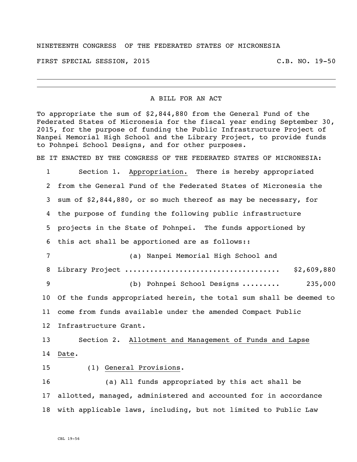## NINETEENTH CONGRESS OF THE FEDERATED STATES OF MICRONESIA

FIRST SPECIAL SESSION, 2015 C.B. NO. 19-50

## A BILL FOR AN ACT

To appropriate the sum of \$2,844,880 from the General Fund of the Federated States of Micronesia for the fiscal year ending September 30, 2015, for the purpose of funding the Public Infrastructure Project of Nanpei Memorial High School and the Library Project, to provide funds to Pohnpei School Designs, and for other purposes.

BE IT ENACTED BY THE CONGRESS OF THE FEDERATED STATES OF MICRONESIA:

 Section 1. Appropriation. There is hereby appropriated from the General Fund of the Federated States of Micronesia the sum of \$2,844,880, or so much thereof as may be necessary, for the purpose of funding the following public infrastructure projects in the State of Pohnpei. The funds apportioned by this act shall be apportioned are as follows:: (a) Nanpei Memorial High School and Library Project ..................................... \$2,609,880 (b) Pohnpei School Designs ......... 235,000 Of the funds appropriated herein, the total sum shall be deemed to come from funds available under the amended Compact Public Infrastructure Grant. Section 2. Allotment and Management of Funds and Lapse Date. (1) General Provisions. (a) All funds appropriated by this act shall be allotted, managed, administered and accounted for in accordance

with applicable laws, including, but not limited to Public Law